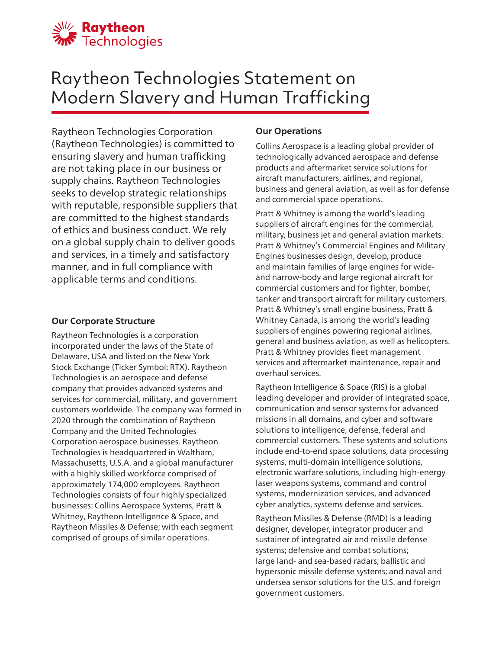

# Raytheon Technologies Statement on Modern Slavery and Human Trafficking

Raytheon Technologies Corporation (Raytheon Technologies) is committed to ensuring slavery and human trafficking are not taking place in our business or supply chains. Raytheon Technologies seeks to develop strategic relationships with reputable, responsible suppliers that are committed to the highest standards of ethics and business conduct. We rely on a global supply chain to deliver goods and services, in a timely and satisfactory manner, and in full compliance with applicable terms and conditions.

#### **Our Corporate Structure**

Raytheon Technologies is a corporation incorporated under the laws of the State of Delaware, USA and listed on the New York Stock Exchange (Ticker Symbol: RTX). Raytheon Technologies is an aerospace and defense company that provides advanced systems and services for commercial, military, and government customers worldwide. The company was formed in 2020 through the combination of Raytheon Company and the United Technologies Corporation aerospace businesses. Raytheon Technologies is headquartered in Waltham, Massachusetts, U.S.A. and a global manufacturer with a highly skilled workforce comprised of approximately 174,000 employees. Raytheon Technologies consists of four highly specialized businesses: Collins Aerospace Systems, Pratt & Whitney, Raytheon Intelligence & Space, and Raytheon Missiles & Defense; with each segment comprised of groups of similar operations.

# **Our Operations**

Collins Aerospace is a leading global provider of technologically advanced aerospace and defense products and aftermarket service solutions for aircraft manufacturers, airlines, and regional, business and general aviation, as well as for defense and commercial space operations.

Pratt & Whitney is among the world's leading suppliers of aircraft engines for the commercial, military, business jet and general aviation markets. Pratt & Whitney's Commercial Engines and Military Engines businesses design, develop, produce and maintain families of large engines for wideand narrow-body and large regional aircraft for commercial customers and for fighter, bomber, tanker and transport aircraft for military customers. Pratt & Whitney's small engine business, Pratt & Whitney Canada, is among the world's leading suppliers of engines powering regional airlines, general and business aviation, as well as helicopters. Pratt & Whitney provides fleet management services and aftermarket maintenance, repair and overhaul services.

Raytheon Intelligence & Space (RIS) is a global leading developer and provider of integrated space, communication and sensor systems for advanced missions in all domains, and cyber and software solutions to intelligence, defense, federal and commercial customers. These systems and solutions include end-to-end space solutions, data processing systems, multi-domain intelligence solutions, electronic warfare solutions, including high-energy laser weapons systems, command and control systems, modernization services, and advanced cyber analytics, systems defense and services.

Raytheon Missiles & Defense (RMD) is a leading designer, developer, integrator producer and sustainer of integrated air and missile defense systems; defensive and combat solutions; large land- and sea-based radars; ballistic and hypersonic missile defense systems; and naval and undersea sensor solutions for the U.S. and foreign government customers.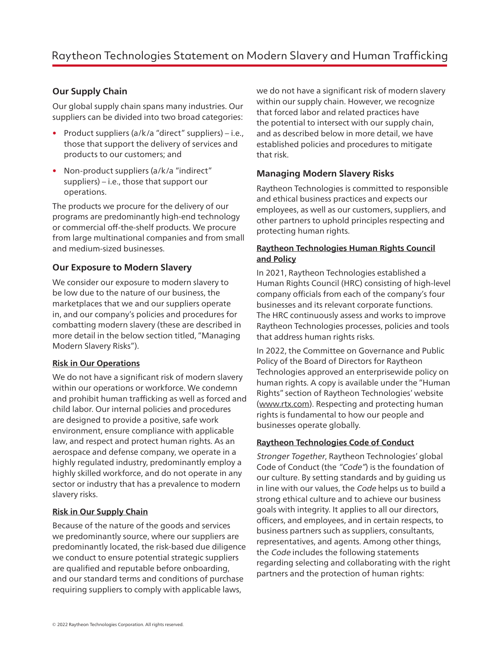# **Our Supply Chain**

Our global supply chain spans many industries. Our suppliers can be divided into two broad categories:

- Product suppliers (a/k/a "direct" suppliers) i.e., those that support the delivery of services and products to our customers; and
- Non-product suppliers (a/k/a "indirect" suppliers) – i.e., those that support our operations.

The products we procure for the delivery of our programs are predominantly high-end technology or commercial off-the-shelf products. We procure from large multinational companies and from small and medium-sized businesses.

#### **Our Exposure to Modern Slavery**

We consider our exposure to modern slavery to be low due to the nature of our business, the marketplaces that we and our suppliers operate in, and our company's policies and procedures for combatting modern slavery (these are described in more detail in the below section titled, "Managing Modern Slavery Risks").

#### **Risk in Our Operations**

We do not have a significant risk of modern slavery within our operations or workforce. We condemn and prohibit human trafficking as well as forced and child labor. Our internal policies and procedures are designed to provide a positive, safe work environment, ensure compliance with applicable law, and respect and protect human rights. As an aerospace and defense company, we operate in a highly regulated industry, predominantly employ a highly skilled workforce, and do not operate in any sector or industry that has a prevalence to modern slavery risks.

# **Risk in Our Supply Chain**

Because of the nature of the goods and services we predominantly source, where our suppliers are predominantly located, the risk-based due diligence we conduct to ensure potential strategic suppliers are qualified and reputable before onboarding, and our standard terms and conditions of purchase requiring suppliers to comply with applicable laws,

we do not have a significant risk of modern slavery within our supply chain. However, we recognize that forced labor and related practices have the potential to intersect with our supply chain, and as described below in more detail, we have established policies and procedures to mitigate that risk.

# **Managing Modern Slavery Risks**

Raytheon Technologies is committed to responsible and ethical business practices and expects our employees, as well as our customers, suppliers, and other partners to uphold principles respecting and protecting human rights.

#### **Raytheon Technologies Human Rights Council and Policy**

In 2021, Raytheon Technologies established a Human Rights Council (HRC) consisting of high-level company officials from each of the company's four businesses and its relevant corporate functions. The HRC continuously assess and works to improve Raytheon Technologies processes, policies and tools that address human rights risks.

In 2022, the Committee on Governance and Public Policy of the Board of Directors for Raytheon Technologies approved an enterprisewide policy on human rights. A copy is available under the "Human Rights" section of Raytheon Technologies' website (www.rtx.com). Respecting and protecting human rights is fundamental to how our people and businesses operate globally.

#### **Raytheon Technologies Code of Conduct**

Stronger Together, Raytheon Technologies' global Code of Conduct (the "Code") is the foundation of our culture. By setting standards and by guiding us in line with our values, the Code helps us to build a strong ethical culture and to achieve our business goals with integrity. It applies to all our directors, officers, and employees, and in certain respects, to business partners such as suppliers, consultants, representatives, and agents. Among other things, the Code includes the following statements regarding selecting and collaborating with the right partners and the protection of human rights: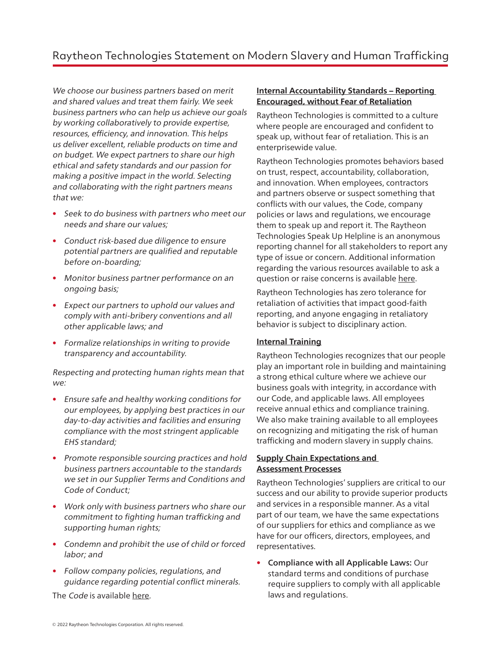We choose our business partners based on merit and shared values and treat them fairly. We seek business partners who can help us achieve our goals by working collaboratively to provide expertise, resources, efficiency, and innovation. This helps us deliver excellent, reliable products on time and on budget. We expect partners to share our high ethical and safety standards and our passion for making a positive impact in the world. Selecting and collaborating with the right partners means that we:

- Seek to do business with partners who meet our needs and share our values;
- Conduct risk-based due diligence to ensure potential partners are qualified and reputable before on-boarding;
- Monitor business partner performance on an ongoing basis;
- Expect our partners to uphold our values and comply with anti-bribery conventions and all other applicable laws; and
- Formalize relationships in writing to provide transparency and accountability.

Respecting and protecting human rights mean that we:

- Ensure safe and healthy working conditions for our employees, by applying best practices in our day-to-day activities and facilities and ensuring compliance with the most stringent applicable EHS standard;
- Promote responsible sourcing practices and hold business partners accountable to the standards we set in our Supplier Terms and Conditions and Code of Conduct;
- Work only with business partners who share our commitment to fighting human trafficking and supporting human rights;
- Condemn and prohibit the use of child or forced labor; and
- Follow company policies, regulations, and guidance regarding potential conflict minerals.

The Code is available here.

#### **Internal Accountability Standards – Reporting Encouraged, without Fear of Retaliation**

Raytheon Technologies is committed to a culture where people are encouraged and confident to speak up, without fear of retaliation. This is an enterprisewide value.

Raytheon Technologies promotes behaviors based on trust, respect, accountability, collaboration, and innovation. When employees, contractors and partners observe or suspect something that conflicts with our values, the Code, company policies or laws and regulations, we encourage them to speak up and report it. The Raytheon Technologies Speak Up Helpline is an anonymous reporting channel for all stakeholders to report any type of issue or concern. Additional information regarding the various resources available to ask a question or raise concerns is available here.

Raytheon Technologies has zero tolerance for retaliation of activities that impact good-faith reporting, and anyone engaging in retaliatory behavior is subject to disciplinary action.

# **Internal Training**

Raytheon Technologies recognizes that our people play an important role in building and maintaining a strong ethical culture where we achieve our business goals with integrity, in accordance with our Code, and applicable laws. All employees receive annual ethics and compliance training. We also make training available to all employees on recognizing and mitigating the risk of human trafficking and modern slavery in supply chains.

#### **Supply Chain Expectations and Assessment Processes**

Raytheon Technologies' suppliers are critical to our success and our ability to provide superior products and services in a responsible manner. As a vital part of our team, we have the same expectations of our suppliers for ethics and compliance as we have for our officers, directors, employees, and representatives.

• Compliance with all Applicable Laws: Our standard terms and conditions of purchase require suppliers to comply with all applicable laws and regulations.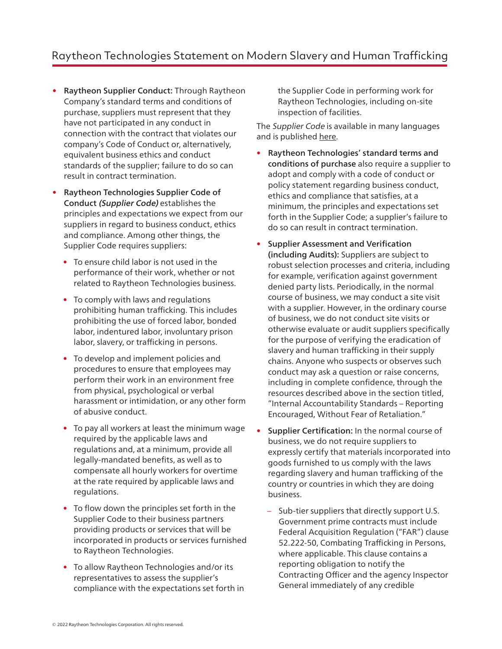- Raytheon Supplier Conduct: Through Raytheon Company's standard terms and conditions of purchase, suppliers must represent that they have not participated in any conduct in connection with the contract that violates our company's Code of Conduct or, alternatively, equivalent business ethics and conduct standards of the supplier; failure to do so can result in contract termination.
- Raytheon Technologies Supplier Code of Conduct (Supplier Code) establishes the principles and expectations we expect from our suppliers in regard to business conduct, ethics and compliance. Among other things, the Supplier Code requires suppliers:
	- To ensure child labor is not used in the performance of their work, whether or not related to Raytheon Technologies business.
	- To comply with laws and regulations prohibiting human trafficking. This includes prohibiting the use of forced labor, bonded labor, indentured labor, involuntary prison labor, slavery, or trafficking in persons.
	- To develop and implement policies and procedures to ensure that employees may perform their work in an environment free from physical, psychological or verbal harassment or intimidation, or any other form of abusive conduct.
	- To pay all workers at least the minimum wage required by the applicable laws and regulations and, at a minimum, provide all legally-mandated benefits, as well as to compensate all hourly workers for overtime at the rate required by applicable laws and regulations.
	- To flow down the principles set forth in the Supplier Code to their business partners providing products or services that will be incorporated in products or services furnished to Raytheon Technologies.
	- To allow Raytheon Technologies and/or its representatives to assess the supplier's compliance with the expectations set forth in

the Supplier Code in performing work for Raytheon Technologies, including on-site inspection of facilities.

The Supplier Code is available in many languages and is published here.

- Raytheon Technologies' standard terms and conditions of purchase also require a supplier to adopt and comply with a code of conduct or policy statement regarding business conduct, ethics and compliance that satisfies, at a minimum, the principles and expectations set forth in the Supplier Code; a supplier's failure to do so can result in contract termination.
- Supplier Assessment and Verification (including Audits): Suppliers are subject to robust selection processes and criteria, including for example, verification against government denied party lists. Periodically, in the normal course of business, we may conduct a site visit with a supplier. However, in the ordinary course of business, we do not conduct site visits or otherwise evaluate or audit suppliers specifically for the purpose of verifying the eradication of slavery and human trafficking in their supply chains. Anyone who suspects or observes such conduct may ask a question or raise concerns, including in complete confidence, through the resources described above in the section titled, "Internal Accountability Standards – Reporting Encouraged, Without Fear of Retaliation."
- Supplier Certification: In the normal course of business, we do not require suppliers to expressly certify that materials incorporated into goods furnished to us comply with the laws regarding slavery and human trafficking of the country or countries in which they are doing business.
	- Sub-tier suppliers that directly support U.S. Government prime contracts must include Federal Acquisition Regulation ("FAR") clause 52.222-50, Combating Trafficking in Persons, where applicable. This clause contains a reporting obligation to notify the Contracting Officer and the agency Inspector General immediately of any credible